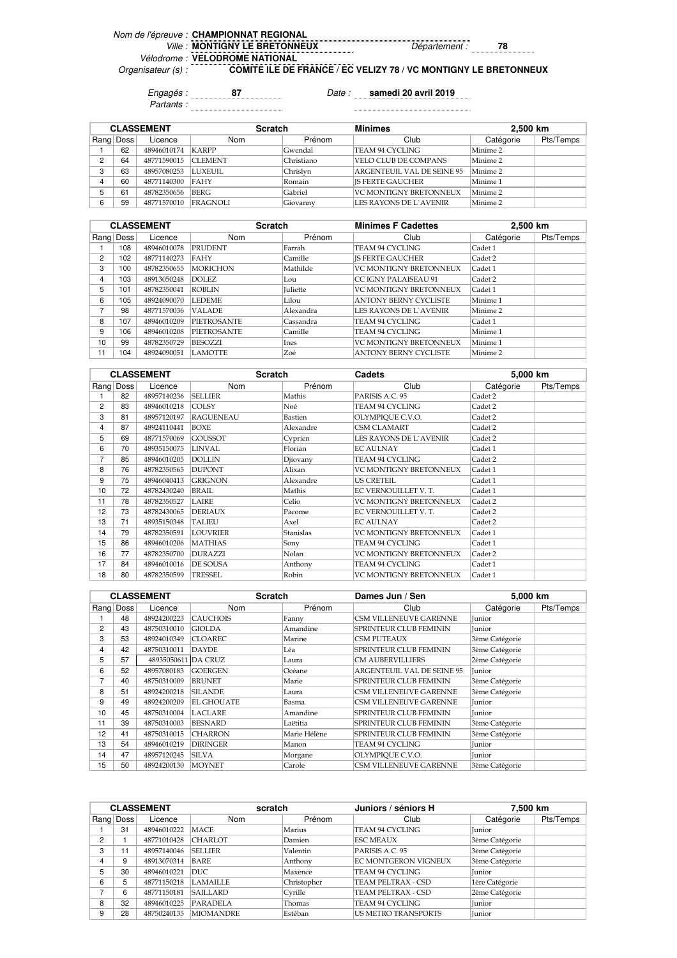## Nom de l'épreuve : **CHAMPIONNAT REGIONAL** Ville : **MONTIGNY LE BRETONNEUX** Département : 78 Vélodrome : **VELODROME NATIONAL**

Organisateur (s) :

**COMITE ILE DE FRANCE / EC VELIZY 78 / VC MONTIGNY LE BRETONNEUX**

Engagés : **87** Date : **samedi 20 avril 2019** Partants :

**Minimes 2,500 km** Rang Doss Licence Nom I Prénom Club Club Catégorie Pts/Temps 1 | 62 | 48946010174 | KARPP | Gwendal | TEAM 94 CYCLING | Minime 2 2 | 64 | 48771590015 |CLEMENT | Christiano | VELO CLUB DE COMPANS | Minime 2 3 63 48957080253 LUXEUIL Chrislyn ARGENTEUIL VAL DE SEINE 95 Minime 2 4 | 60 | 48771140300 |FAHY Romain JS FERTE GAUCHER Minime 1 5 61 48782350656 BERG Gabriel VC MONTIGNY BRETONNEUX Minime 2<br>6 59 48771570010 FRAGNOLI Giovanny LES RAYONS DE L'AVENIR Minime 2 6 59 48771570010 FRAGNOLI Giovanny LES RAYONS DE L'AVENIR Minime 2 CLASSEMENT Scratch

|    | <b>CLASSEMENT</b> |             | <b>Scratch</b>     |                 | <b>Minimes F Cadettes</b>     | 2,500 km   |           |
|----|-------------------|-------------|--------------------|-----------------|-------------------------------|------------|-----------|
|    | Rang Doss         | Licence     | <b>Nom</b>         | Prénom          | Club                          | Catégorie  | Pts/Temps |
|    | 108               | 48946010078 | <b>PRUDENT</b>     | Farrah          | TEAM 94 CYCLING               | Cadet 1    |           |
| 2  | 102               | 48771140273 | FAHY               | Camille         | <b>IS FERTE GAUCHER</b>       | Cadet 2    |           |
| 3  | 100               | 48782350655 | <b>MORICHON</b>    | Mathilde        | <b>VC MONTIGNY BRETONNEUX</b> | Cadet 1    |           |
| 4  | 103               | 48913050248 | DOLEZ.             | Lou             | <b>CC IGNY PALAISEAU 91</b>   | Cadet 2    |           |
| 5  | 101               | 48782350041 | <b>ROBLIN</b>      | <b>Iuliette</b> | VC MONTIGNY BRETONNEUX        | $C$ adet 1 |           |
| 6  | 105               | 48924090070 | <b>LEDEME</b>      | Lilou           | <b>ANTONY BERNY CYCLISTE</b>  | Minime 1   |           |
| ⇁  | 98                | 48771570036 | <b>VALADE</b>      | Alexandra       | LES RAYONS DE L`AVENIR        | Minime 2   |           |
| 8  | 107               | 48946010209 | <b>PIETROSANTE</b> | Cassandra       | TEAM 94 CYCLING               | Cadet 1    |           |
| 9  | 106               | 48946010208 | <b>PIETROSANTE</b> | Camille         | TEAM 94 CYCLING               | Minime 1   |           |
| 10 | 99                | 48782350729 | BESOZZI            | Ines            | VC MONTIGNY BRETONNEUX        | Minime 1   |           |
| 11 | 104               | 48924090051 | <b>LAMOTTE</b>     | Zoé             | <b>ANTONY BERNY CYCLISTE</b>  | Minime 2   |           |

|    |           | <b>CLASSEMENT</b> |                  | Scratch<br>Cadets |                               | 5,000 km  |           |
|----|-----------|-------------------|------------------|-------------------|-------------------------------|-----------|-----------|
|    | Rang Doss | Licence           | <b>Nom</b>       | Prénom            | Club                          | Catégorie | Pts/Temps |
|    | 82        | 48957140236       | <b>SELLIER</b>   | Mathis            | PARISIS A.C. 95               | Cadet 2   |           |
| 2  | 83        | 48946010218       | <b>COLSY</b>     | Noé               | TEAM 94 CYCLING               | Cadet 2   |           |
| 3  | 81        | 48957120197       | <b>RAGUENEAU</b> | Bastien           | OLYMPIQUE C.V.O.              | Cadet 2   |           |
| 4  | 87        | 48924110441       | BOXE             | Alexandre         | CSM CLAMART                   | Cadet 2   |           |
| 5  | 69        | 48771570069       | <b>GOUSSOT</b>   | Cyprien           | LES RAYONS DE L`AVENIR        | Cadet 2   |           |
| 6  | 70        | 48935150075       | LINVAL           | Florian           | <b>EC AULNAY</b>              | Cadet 1   |           |
| 7  | 85        | 48946010205       | <b>DOLLIN</b>    | Djiovany          | TEAM 94 CYCLING               | Cadet 2   |           |
| 8  | 76        | 48782350565       | <b>DUPONT</b>    | Alixan            | <b>VC MONTIGNY BRETONNEUX</b> | Cadet 1   |           |
| 9  | 75        | 48946040413       | <b>GRIGNON</b>   | Alexandre         | <b>US CRETEIL</b>             | Cadet 1   |           |
| 10 | 72        | 48782430240       | <b>BRAIL</b>     | Mathis            | EC VERNOUILLET V.T.           | Cadet 1   |           |
| 11 | 78        | 48782350527       | <b>LAIRE</b>     | Celio             | VC MONTIGNY BRETONNEUX        | Cadet 2   |           |
| 12 | 73        | 48782430065       | <b>DERIAUX</b>   | Pacome            | EC VERNOUILLET V.T.           | Cadet 2   |           |
| 13 | 71        | 48935150348       | <b>TALIEU</b>    | Axel              | <b>EC AULNAY</b>              | Cadet 2   |           |
| 14 | 79        | 48782350591       | <b>LOUVRIER</b>  | <b>Stanislas</b>  | <b>VC MONTIGNY BRETONNEUX</b> | Cadet 1   |           |
| 15 | 86        | 48946010206       | <b>MATHIAS</b>   | Sony              | TEAM 94 CYCLING               | Cadet 1   |           |
| 16 | 77        | 48782350700       | <b>DURAZZI</b>   | Nolan             | <b>VC MONTIGNY BRETONNEUX</b> | Cadet 2   |           |
| 17 | 84        | 48946010016       | DE SOUSA         | Anthony           | TEAM 94 CYCLING               | Cadet 1   |           |
| 18 | 80        | 48782350599       | <b>TRESSEL</b>   | Robin             | VC MONTIGNY BRETONNEUX        | Cadet 1   |           |

|    |           | <b>CLASSEMENT</b>   | <b>Scratch</b>    |              | Dames Jun / Sen               | 5,000 km       |           |
|----|-----------|---------------------|-------------------|--------------|-------------------------------|----------------|-----------|
|    | Rang Doss | Licence             | <b>Nom</b>        | Prénom       | Club                          | Catégorie      | Pts/Temps |
|    | 48        | 48924200223         | <b>CAUCHOIS</b>   | Fanny        | <b>CSM VILLENEUVE GARENNE</b> | Junior         |           |
| 2  | 43        | 48750310010         | <b>GIOLDA</b>     | Amandine     | <b>SPRINTEUR CLUB FEMININ</b> | Junior         |           |
| 3  | 53        | 48924010349         | <b>CLOAREC</b>    | Marine       | <b>CSM PUTEAUX</b>            | 3ème Catégorie |           |
| 4  | 42        | 48750310011         | <b>DAYDE</b>      | Léa          | <b>SPRINTEUR CLUB FEMININ</b> | 3ème Catégorie |           |
| 5  | 57        | 48935050611 DA CRUZ |                   | Laura        | <b>CM AUBERVILLIERS</b>       | 2ème Catégorie |           |
| 6  | 52        | 48957080183         | <b>GOERGEN</b>    | Océane       | ARGENTEUIL VAL DE SEINE 95    | <b>Iunior</b>  |           |
| 7  | 40        | 48750310009         | <b>BRUNET</b>     | Marie        | <b>SPRINTEUR CLUB FEMININ</b> | 3ème Catégorie |           |
| 8  | 51        | 48924200218         | <b>SILANDE</b>    | Laura        | CSM VILLENEUVE GARENNE        | 3ème Catégorie |           |
| 9  | 49        | 48924200209         | <b>EL GHOUATE</b> | Basma        | CSM VILLENEUVE GARENNE        | Junior         |           |
| 10 | 45        | 48750310004         | <b>LACLARE</b>    | Amandine     | <b>SPRINTEUR CLUB FEMININ</b> | Junior         |           |
| 11 | 39        | 48750310003         | <b>BESNARD</b>    | Laëtitia     | <b>SPRINTEUR CLUB FEMININ</b> | 3ème Catégorie |           |
| 12 | 41        | 48750310015         | <b>CHARRON</b>    | Marie Hélène | <b>SPRINTEUR CLUB FEMININ</b> | 3ème Catégorie |           |
| 13 | 54        | 48946010219         | <b>DIRINGER</b>   | Manon        | TEAM 94 CYCLING               | Junior         |           |
| 14 | 47        | 48957120245         | <b>SILVA</b>      | Morgane      | OLYMPIQUE C.V.O.              | Junior         |           |
| 15 | 50        | 48924200130         | <b>MOYNET</b>     | Carole       | <b>CSM VILLENEUVE GARENNE</b> | 3ème Catégorie |           |

|   | <b>CLASSEMENT</b> |             | scratch          |             | Juniors / séniors H         |                | 7.500 km  |  |
|---|-------------------|-------------|------------------|-------------|-----------------------------|----------------|-----------|--|
|   | Rang Doss         | Licence     | <b>Nom</b>       | Prénom      | Club                        | Catégorie      | Pts/Temps |  |
|   | 31                | 48946010222 | <b>MACE</b>      | Marius      | TEAM 94 CYCLING             | <b>Iunior</b>  |           |  |
| 2 |                   | 48771010428 | <b>CHARLOT</b>   | Damien      | <b>ESC MEAUX</b>            | 3ème Catégorie |           |  |
| 3 | 11                | 48957140046 | <b>SELLIER</b>   | Valentin    | PARISIS A.C. 95             | 3ème Catégorie |           |  |
| 4 | 9                 | 48913070314 | <b>BARE</b>      | Anthony     | <b>EC MONTGERON VIGNEUX</b> | 3ème Catégorie |           |  |
| 5 | 30                | 48946010221 | <b>DUC</b>       | Maxence     | TEAM 94 CYCLING             | <b>Iunior</b>  |           |  |
| 6 | 5                 | 48771150218 | <b>LAMAILLE</b>  | Christopher | <b>TEAM PELTRAX - CSD</b>   | 1ère Catégorie |           |  |
| 7 | 6                 | 48771150181 | <b>SAILLARD</b>  | Cyrille     | TEAM PELTRAX - CSD          | 2ème Catégorie |           |  |
| 8 | 32                | 48946010225 | <b>PARADELA</b>  | Thomas      | TEAM 94 CYCLING             | Junior         |           |  |
| 9 | 28                | 48750240135 | <b>MIOMANDRE</b> | Estéban     | <b>US METRO TRANSPORTS</b>  | Junior         |           |  |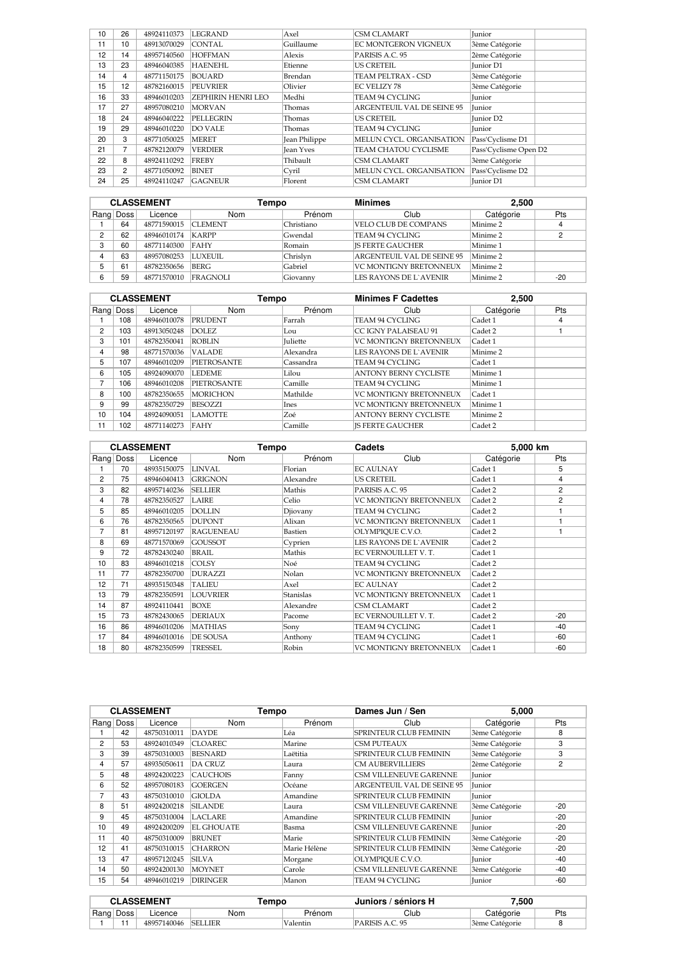| 10 | 26              | 48924110373 | <b>LEGRAND</b>     | Axel             | <b>CSM CLAMART</b>                | <b>Iunior</b>         |
|----|-----------------|-------------|--------------------|------------------|-----------------------------------|-----------------------|
| 11 | 10 <sup>1</sup> | 48913070029 | <b>CONTAL</b>      | Guillaume        | <b>EC MONTGERON VIGNEUX</b>       | 3ème Catégorie        |
| 12 | 14              | 48957140560 | <b>HOFFMAN</b>     | Alexis           | PARISIS A.C. 95                   | 2ème Catégorie        |
| 13 | 23              | 48946040385 | <b>HAENEHL</b>     | Etienne          | <b>US CRETEIL</b>                 | <b>Iunior D1</b>      |
| 14 | 4               | 48771150175 | <b>BOUARD</b>      | Brendan          | TEAM PELTRAX - CSD                | 3ème Catégorie        |
| 15 | 12              | 48782160015 | <b>PEUVRIER</b>    | Olivier          | <b>EC VELIZY 78</b>               | 3ème Catégorie        |
| 16 | 33              | 48946010203 | ZEPHIRIN HENRI LEO | Medhi            | <b>TEAM 94 CYCLING</b>            | <b>Iunior</b>         |
| 17 | 27              | 48957080210 | <b>MORVAN</b>      | Thomas           | <b>ARGENTEUIL VAL DE SEINE 95</b> | <b>Iunior</b>         |
| 18 | 24              | 48946040222 | <b>PELLEGRIN</b>   | Thomas           | US CRETEIL                        | <b>Iunior D2</b>      |
| 19 | 29              | 48946010220 | <b>DO VALE</b>     | Thomas           | <b>TEAM 94 CYCLING</b>            | <b>Iunior</b>         |
| 20 | 3               | 48771050025 | <b>MERET</b>       | Jean Philippe    | MELUN CYCL. ORGANISATION          | Pass'Cyclisme D1      |
| 21 | 7               | 48782120079 | <b>VERDIER</b>     | <b>Jean Yves</b> | TEAM CHATOU CYCLISME              | Pass'Cyclisme Open D2 |
| 22 | 8               | 48924110292 | <b>FREBY</b>       | Thibault         | <b>CSM CLAMART</b>                | 3ème Catégorie        |
| 23 | $\overline{2}$  | 48771050092 | <b>BINET</b>       | Cyril            | MELUN CYCL. ORGANISATION          | Pass'Cyclisme D2      |
| 24 | 25              | 48924110247 | <b>GAGNEUR</b>     | Florent          | <b>CSM CLAMART</b>                | <b>Iunior D1</b>      |

|   |           | <b>CLASSEMENT</b> | Tempo           |            | <b>Minimes</b>             | 2,500     |       |
|---|-----------|-------------------|-----------------|------------|----------------------------|-----------|-------|
|   | Rang Doss | Licence           | Nom             | Prénom     | Club                       | Catégorie | Pts   |
|   | 64        | 48771590015       | <b>CLEMENT</b>  | Christiano | VELO CLUB DE COMPANS       | Minime 2  |       |
| ◠ | 62        | 48946010174       | KARPP           | Gwendal    | TEAM 94 CYCLING            | Minime 2  |       |
| 3 | 60        | 48771140300       | FAHY            | Romain     | <b>IS FERTE GAUCHER</b>    | Minime 1  |       |
|   | 63        | 48957080253       | LUXEUIL.        | Chrislyn   | ARGENTEUIL VAL DE SEINE 95 | Minime 2  |       |
|   | 61        | 48782350656       | <b>BERG</b>     | Gabriel    | VC MONTIGNY BRETONNEUX     | Minime 2  |       |
| 6 | 59        | 48771570010       | <b>FRAGNOLI</b> | Giovanny   | LES RAYONS DE L`AVENIR     | Minime 2  | $-20$ |

| <b>CLASSEMENT</b> |             | Tempo       |                    | <b>Minimes F Cadettes</b> | 2,500                         |           |            |
|-------------------|-------------|-------------|--------------------|---------------------------|-------------------------------|-----------|------------|
| Rang              | <b>Doss</b> | Licence     | <b>Nom</b>         | Prénom                    | Club                          | Catégorie | <b>Pts</b> |
|                   | 108         | 48946010078 | <b>PRUDENT</b>     | Farrah                    | TEAM 94 CYCLING               | Cadet 1   | 4          |
| 2                 | 103         | 48913050248 | DOLEZ.             | Lou                       | CC IGNY PALAISEAU 91          | Cadet 2   |            |
| 3                 | 101         | 48782350041 | ROBLIN             | <b>Iuliette</b>           | <b>VC MONTIGNY BRETONNEUX</b> | Cadet 1   |            |
| 4                 | 98          | 48771570036 | <b>VALADE</b>      | Alexandra                 | LES RAYONS DE L'AVENIR        | Minime 2  |            |
| 5                 | 107         | 48946010209 | <b>PIETROSANTE</b> | Cassandra                 | TEAM 94 CYCLING               | Cadet 1   |            |
| 6                 | 105         | 48924090070 | <b>LEDEME</b>      | Lilou                     | <b>ANTONY BERNY CYCLISTE</b>  | Minime 1  |            |
| 7                 | 106         | 48946010208 | <b>PIETROSANTE</b> | Camille                   | TEAM 94 CYCLING               | Minime 1  |            |
| 8                 | 100         | 48782350655 | <b>MORICHON</b>    | Mathilde                  | <b>VC MONTIGNY BRETONNEUX</b> | Cadet 1   |            |
| 9                 | 99          | 48782350729 | BESOZZI            | Ines                      | <b>VC MONTIGNY BRETONNEUX</b> | Minime 1  |            |
| 10                | 104         | 48924090051 | <b>LAMOTTE</b>     | Zoé                       | <b>ANTONY BERNY CYCLISTE</b>  | Minime 2  |            |
| 11                | 102         | 48771140273 | FAHY               | Camille                   | <b>IS FERTE GAUCHER</b>       | Cadet 2   |            |

|      |      | <b>CLASSEMENT</b> | Tempo            |                  | Cadets                        | 5.000 km  |                |
|------|------|-------------------|------------------|------------------|-------------------------------|-----------|----------------|
| Rang | Doss | Licence           | <b>Nom</b>       | Prénom           | Club                          | Catégorie | Pts            |
|      | 70   | 48935150075       | LINVAL           | Florian          | <b>EC AULNAY</b>              | Cadet 1   | 5              |
| 2    | 75   | 48946040413       | <b>GRIGNON</b>   | Alexandre        | <b>US CRETEIL</b>             | Cadet 1   | 4              |
| 3    | 82   | 48957140236       | <b>SELLIER</b>   | Mathis           | PARISIS A.C. 95               | Cadet 2   | $\overline{2}$ |
| 4    | 78   | 48782350527       | LAIRE            | Celio            | <b>VC MONTIGNY BRETONNEUX</b> | Cadet 2   | $\overline{2}$ |
| 5    | 85   | 48946010205       | <b>DOLLIN</b>    | Djiovany         | <b>TEAM 94 CYCLING</b>        | Cadet 2   |                |
| 6    | 76   | 48782350565       | <b>DUPONT</b>    | Alixan           | <b>VC MONTIGNY BRETONNEUX</b> | Cadet 1   |                |
| 7    | 81   | 48957120197       | <b>RAGUENEAU</b> | Bastien          | OLYMPIQUE C.V.O.              | Cadet 2   |                |
| 8    | 69   | 48771570069       | <b>GOUSSOT</b>   | Cyprien          | LES RAYONS DE L'AVENIR        | Cadet 2   |                |
| 9    | 72   | 48782430240       | <b>BRAIL</b>     | Mathis           | EC VERNOUILLET V. T.          | Cadet 1   |                |
| 10   | 83   | 48946010218       | <b>COLSY</b>     | Noé              | TEAM 94 CYCLING               | Cadet 2   |                |
| 11   | 77   | 48782350700       | <b>DURAZZI</b>   | Nolan            | <b>VC MONTIGNY BRETONNEUX</b> | Cadet 2   |                |
| 12   | 71   | 48935150348       | <b>TALIEU</b>    | Axel             | <b>EC AULNAY</b>              | Cadet 2   |                |
| 13   | 79   | 48782350591       | LOUVRIER         | <b>Stanislas</b> | <b>VC MONTIGNY BRETONNEUX</b> | Cadet 1   |                |
| 14   | 87   | 48924110441       | <b>BOXE</b>      | Alexandre        | <b>CSM CLAMART</b>            | Cadet 2   |                |
| 15   | 73   | 48782430065       | <b>DERIAUX</b>   | Pacome           | EC VERNOUILLET V. T.          | Cadet 2   | $-20$          |
| 16   | 86   | 48946010206       | <b>MATHIAS</b>   | Sony             | <b>TEAM 94 CYCLING</b>        | Cadet 1   | $-40$          |
| 17   | 84   | 48946010016       | DE SOUSA         | Anthony          | <b>TEAM 94 CYCLING</b>        | Cadet 1   | $-60$          |
| 18   | 80   | 48782350599       | TRESSEL          | Robin            | <b>VC MONTIGNY BRETONNEUX</b> | Cadet 1   | -60            |

|    |           | <b>CLASSEMENT</b> | Tempo             |              | Dames Jun / Sen               | 5.000          |                |
|----|-----------|-------------------|-------------------|--------------|-------------------------------|----------------|----------------|
|    | Rang Doss | Licence           | Nom               | Prénom       | Club                          | Catégorie      | <b>Pts</b>     |
|    | 42        | 48750310011       | <b>DAYDE</b>      | Léa          | <b>SPRINTEUR CLUB FEMININ</b> | 3ème Catégorie | 8              |
| 2  | 53        | 48924010349       | <b>CLOAREC</b>    | Marine       | <b>CSM PUTEAUX</b>            | 3ème Catégorie | 3              |
| 3  | 39        | 48750310003       | <b>BESNARD</b>    | Laëtitia     | <b>SPRINTEUR CLUB FEMININ</b> | 3ème Catégorie | 3              |
| 4  | 57        | 48935050611       | <b>DA CRUZ</b>    | Laura        | <b>CM AUBERVILLIERS</b>       | 2ème Catégorie | $\overline{2}$ |
| 5  | 48        | 48924200223       | <b>CAUCHOIS</b>   | Fanny        | <b>CSM VILLENEUVE GARENNE</b> | Junior         |                |
| 6  | 52        | 48957080183       | <b>GOERGEN</b>    | Océane       | ARGENTEUIL VAL DE SEINE 95    | Junior         |                |
| 7  | 43        | 48750310010       | <b>GIOLDA</b>     | Amandine     | <b>SPRINTEUR CLUB FEMININ</b> | Junior         |                |
| 8  | 51        | 48924200218       | <b>SILANDE</b>    | Laura        | <b>CSM VILLENEUVE GARENNE</b> | 3ème Catégorie | $-20$          |
| 9  | 45        | 48750310004       | <b>LACLARE</b>    | Amandine     | <b>SPRINTEUR CLUB FEMININ</b> | Junior         | $-20$          |
| 10 | 49        | 48924200209       | <b>EL GHOUATE</b> | Basma        | <b>CSM VILLENEUVE GARENNE</b> | <b>Iunior</b>  | $-20$          |
| 11 | 40        | 48750310009       | <b>BRUNET</b>     | Marie        | <b>SPRINTEUR CLUB FEMININ</b> | 3ème Catégorie | $-20$          |
| 12 | 41        | 48750310015       | <b>CHARRON</b>    | Marie Hélène | <b>SPRINTEUR CLUB FEMININ</b> | 3ème Catégorie | $-20$          |
| 13 | 47        | 48957120245       | <b>SILVA</b>      | Morgane      | OLYMPIOUE C.V.O.              | Junior         | $-40$          |
| 14 | 50        | 48924200130       | <b>MOYNET</b>     | Carole       | <b>CSM VILLENEUVE GARENNE</b> | 3ème Catégorie | $-40$          |
| 15 | 54        | 48946010219       | <b>DIRINGER</b>   | Manon        | TEAM 94 CYCLING               | Junior         | $-60$          |

| <b>CLASSEMENT</b> |           | <b>Tempo</b> |                | / séniors H<br>Juniors / | 500.'          |                |     |
|-------------------|-----------|--------------|----------------|--------------------------|----------------|----------------|-----|
|                   | Rang Doss | ∟icence      | Nom            | Prénom                   | Club           | Catégorie      | Pts |
|                   |           | 48957140046  | <b>SELLIER</b> | Valentin                 | QF<br>ARISIS - | 3ème Catégorie |     |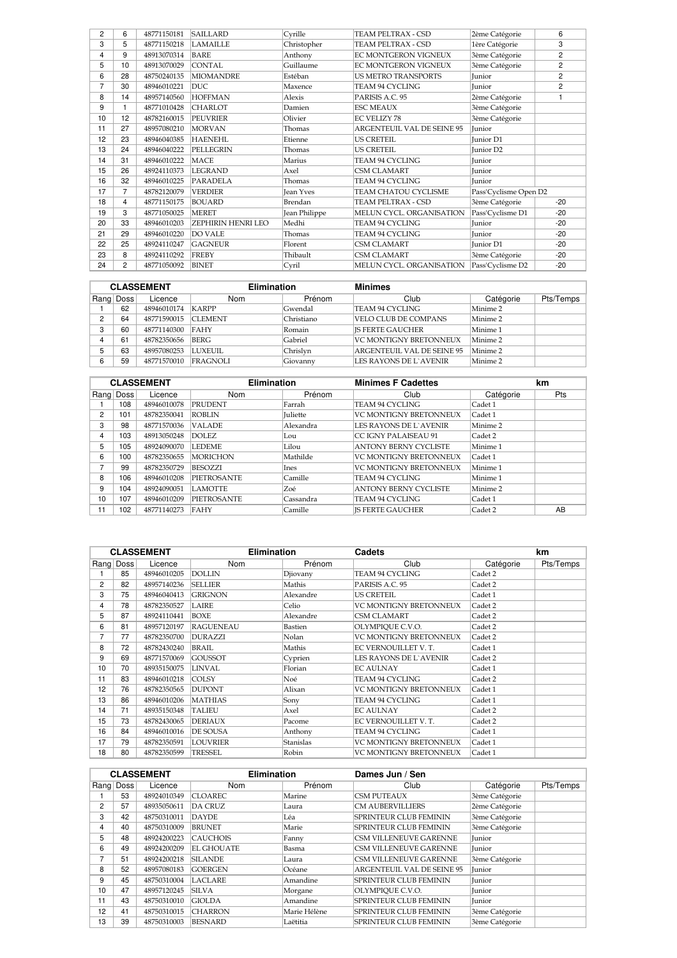| 2  | 6  | 48771150181 | <b>SAILLARD</b>    | Cyrille          | <b>TEAM PELTRAX - CSD</b>  | 2ème Catégorie        | 6              |
|----|----|-------------|--------------------|------------------|----------------------------|-----------------------|----------------|
| 3  | 5  | 48771150218 | <b>LAMAILLE</b>    | Christopher      | <b>TEAM PELTRAX - CSD</b>  | 1ère Catégorie        | 3              |
| 4  | 9  | 48913070314 | <b>BARE</b>        | Anthony          | EC MONTGERON VIGNEUX       | 3ème Catégorie        | $\overline{c}$ |
| 5  | 10 | 48913070029 | <b>CONTAL</b>      | Guillaume        | EC MONTGERON VIGNEUX       | 3ème Catégorie        | $\overline{c}$ |
| 6  | 28 | 48750240135 | <b>MIOMANDRE</b>   | Estéban          | <b>US METRO TRANSPORTS</b> | Junior                | $\overline{c}$ |
| 7  | 30 | 48946010221 | <b>DUC</b>         | Maxence          | <b>TEAM 94 CYCLING</b>     | Junior                | $\overline{c}$ |
| 8  | 14 | 48957140560 | <b>HOFFMAN</b>     | Alexis           | PARISIS A.C. 95            | 2ème Catégorie        |                |
| 9  |    | 48771010428 | <b>CHARLOT</b>     | Damien           | <b>ESC MEAUX</b>           | 3ème Catégorie        |                |
| 10 | 12 | 48782160015 | <b>PEUVRIER</b>    | Olivier          | <b>EC VELIZY 78</b>        | 3ème Catégorie        |                |
| 11 | 27 | 48957080210 | <b>MORVAN</b>      | Thomas           | ARGENTEUIL VAL DE SEINE 95 | Junior                |                |
| 12 | 23 | 48946040385 | <b>HAENEHL</b>     | Etienne          | <b>US CRETEIL</b>          | Junior D1             |                |
| 13 | 24 | 48946040222 | PELLEGRIN          | Thomas           | <b>US CRETEIL</b>          | Junior D <sub>2</sub> |                |
| 14 | 31 | 48946010222 | <b>MACE</b>        | Marius           | TEAM 94 CYCLING            | Junior                |                |
| 15 | 26 | 48924110373 | <b>LEGRAND</b>     | Axel             | <b>CSM CLAMART</b>         | Junior                |                |
| 16 | 32 | 48946010225 | <b>PARADELA</b>    | Thomas           | TEAM 94 CYCLING            | Junior                |                |
| 17 | 7  | 48782120079 | <b>VERDIER</b>     | <b>Jean Yves</b> | TEAM CHATOU CYCLISME       | Pass'Cyclisme Open D2 |                |
| 18 | 4  | 48771150175 | <b>BOUARD</b>      | Brendan          | TEAM PELTRAX - CSD         | 3ème Catégorie        | $-20$          |
| 19 | 3  | 48771050025 | <b>MERET</b>       | Jean Philippe    | MELUN CYCL. ORGANISATION   | Pass'Cyclisme D1      | $-20$          |
| 20 | 33 | 48946010203 | ZEPHIRIN HENRI LEO | Medhi            | <b>TEAM 94 CYCLING</b>     | Junior                | $-20$          |
| 21 | 29 | 48946010220 | <b>DO VALE</b>     | Thomas           | TEAM 94 CYCLING            | Junior                | $-20$          |
| 22 | 25 | 48924110247 | <b>GAGNEUR</b>     | Florent          | <b>CSM CLAMART</b>         | Junior D1             | $-20$          |
| 23 | 8  | 48924110292 | <b>FREBY</b>       | Thibault         | <b>CSM CLAMART</b>         | 3ème Catégorie        | $-20$          |
| 24 | 2  | 48771050092 | <b>BINET</b>       | Cyril            | MELUN CYCL. ORGANISATION   | Pass'Cyclisme D2      | $-20$          |

| <b>CLASSEMENT</b> |           |             | <b>Elimination</b> |            | <b>Minimes</b>             |           |           |
|-------------------|-----------|-------------|--------------------|------------|----------------------------|-----------|-----------|
|                   | Rang Doss | Licence     | <b>Nom</b>         | Prénom     | Club                       | Catégorie | Pts/Temps |
|                   | 62        | 48946010174 | <b>KARPP</b>       | Gwendal    | TEAM 94 CYCLING            | Minime 2  |           |
| 2                 | 64        | 48771590015 | <b>CLEMENT</b>     | Christiano | VELO CLUB DE COMPANS       | Minime 2  |           |
| 3                 | 60        | 48771140300 | <b>FAHY</b>        | Romain     | <b>IS FERTE GAUCHER</b>    | Minime 1  |           |
| 4                 | 61        | 48782350656 | BERG               | Gabriel    | VC MONTIGNY BRETONNEUX     | Minime 2  |           |
|                   | 63        | 48957080253 | <b>LUXEUIL</b>     | Chrislyn   | ARGENTEUIL VAL DE SEINE 95 | Minime 2  |           |
| 6                 | 59        | 48771570010 | <b>FRAGNOLI</b>    | Giovanny   | LES RAYONS DE L`AVENIR     | Minime 2  |           |

|      |             | <b>CLASSEMENT</b> | <b>Elimination</b> |                 | <b>Minimes F Cadettes</b>     |                     | km  |
|------|-------------|-------------------|--------------------|-----------------|-------------------------------|---------------------|-----|
| Rang | <b>Doss</b> | Licence           | Nom                | Prénom          | Club                          | Catégorie           | Pts |
|      | 108         | 48946010078       | <b>PRUDENT</b>     | Farrah          | TEAM 94 CYCLING               | Cadet 1             |     |
| 2    | 101         | 48782350041       | <b>ROBLIN</b>      | <b>Iuliette</b> | <b>VC MONTIGNY BRETONNEUX</b> | Cadet 1             |     |
| 3    | 98          | 48771570036       | <b>VALADE</b>      | Alexandra       | LES RAYONS DE L`AVENIR        | Minime 2            |     |
| 4    | 103         | 48913050248       | DOLEZ.             | Lou             | ICC IGNY PALAISEAU 91         | Cadet 2             |     |
| 5    | 105         | 48924090070       | <b>LEDEME</b>      | Lilou           | <b>ANTONY BERNY CYCLISTE</b>  | Minime 1            |     |
| 6    | 100         | 48782350655       | <b>MORICHON</b>    | Mathilde        | <b>VC MONTIGNY BRETONNEUX</b> | Cadet 1             |     |
| 7    | 99          | 48782350729       | BESOZZI            | Ines            | VC MONTIGNY BRETONNEUX        | Minime <sub>1</sub> |     |
| 8    | 106         | 48946010208       | <b>PIETROSANTE</b> | Camille         | TEAM 94 CYCLING               | Minime <sub>1</sub> |     |
| 9    | 104         | 48924090051       | <b>LAMOTTE</b>     | Zoé             | <b>ANTONY BERNY CYCLISTE</b>  | Minime 2            |     |
| 10   | 107         | 48946010209       | <b>PIETROSANTE</b> | Cassandra       | TEAM 94 CYCLING               | Cadet 1             |     |
| 11   | 102         | 48771140273       | FAHY               | Camille         | <b>IS FERTE GAUCHER</b>       | Cadet 2             | AB  |

|                |           | <b>CLASSEMENT</b> | <b>Elimination</b> |                  | Cadets                        |           | km        |
|----------------|-----------|-------------------|--------------------|------------------|-------------------------------|-----------|-----------|
|                | Rang Doss | Licence           | Nom                | Prénom           | Club                          | Catégorie | Pts/Temps |
|                | 85        | 48946010205       | <b>DOLLIN</b>      | Djiovany         | <b>TEAM 94 CYCLING</b>        | Cadet 2   |           |
| $\overline{2}$ | 82        | 48957140236       | <b>SELLIER</b>     | Mathis           | PARISIS A.C. 95               | Cadet 2   |           |
| 3              | 75        | 48946040413       | <b>GRIGNON</b>     | Alexandre        | US CRETEIL                    | Cadet 1   |           |
| 4              | 78        | 48782350527       | <b>LAIRE</b>       | Celio            | <b>VC MONTIGNY BRETONNEUX</b> | Cadet 2   |           |
| 5              | 87        | 48924110441       | <b>BOXE</b>        | Alexandre        | CSM CLAMART                   | Cadet 2   |           |
| 6              | 81        | 48957120197       | <b>RAGUENEAU</b>   | Bastien          | OLYMPIQUE C.V.O.              | Cadet 2   |           |
| 7              | 77        | 48782350700       | <b>DURAZZI</b>     | Nolan            | <b>VC MONTIGNY BRETONNEUX</b> | Cadet 2   |           |
| 8              | 72        | 48782430240       | <b>BRAIL</b>       | Mathis           | EC VERNOUILLET V.T.           | Cadet 1   |           |
| 9              | 69        | 48771570069       | <b>GOUSSOT</b>     | Cyprien          | <b>LES RAYONS DE L'AVENIR</b> | Cadet 2   |           |
| 10             | 70        | 48935150075       | <b>LINVAL</b>      | Florian          | <b>EC AULNAY</b>              | Cadet 1   |           |
| 11             | 83        | 48946010218       | <b>COLSY</b>       | Noé              | TEAM 94 CYCLING               | Cadet 2   |           |
| 12             | 76        | 48782350565       | <b>DUPONT</b>      | Alixan           | VC MONTIGNY BRETONNEUX        | Cadet 1   |           |
| 13             | 86        | 48946010206       | <b>MATHIAS</b>     | Sony             | TEAM 94 CYCLING               | Cadet 1   |           |
| 14             | 71        | 48935150348       | <b>TALIEU</b>      | Axel             | <b>EC AULNAY</b>              | Cadet 2   |           |
| 15             | 73        | 48782430065       | <b>DERIAUX</b>     | Pacome           | EC VERNOUILLET V. T.          | Cadet 2   |           |
| 16             | 84        | 48946010016       | <b>DE SOUSA</b>    | Anthony          | TEAM 94 CYCLING               | Cadet 1   |           |
| 17             | 79        | 48782350591       | <b>LOUVRIER</b>    | <b>Stanislas</b> | VC MONTIGNY BRETONNEUX        | Cadet 1   |           |
| 18             | 80        | 48782350599       | <b>TRESSEL</b>     | Robin            | VC MONTIGNY BRETONNEUX        | Cadet 1   |           |

|    |           | <b>CLASSEMENT</b> | <b>Elimination</b> |              | Dames Jun / Sen               |                |           |
|----|-----------|-------------------|--------------------|--------------|-------------------------------|----------------|-----------|
|    | Rang Doss | Licence           | Nom                | Prénom       | Club                          | Catégorie      | Pts/Temps |
|    | 53        | 48924010349       | <b>CLOAREC</b>     | Marine       | <b>CSM PUTEAUX</b>            | 3ème Catégorie |           |
| 2  | 57        | 48935050611       | <b>DA CRUZ</b>     | Laura        | <b>CM AUBERVILLIERS</b>       | 2ème Catégorie |           |
| 3  | 42        | 48750310011       | <b>DAYDE</b>       | Léa          | <b>SPRINTEUR CLUB FEMININ</b> | 3ème Catégorie |           |
| 4  | 40        | 48750310009       | <b>BRUNET</b>      | Marie        | <b>SPRINTEUR CLUB FEMININ</b> | 3ème Catégorie |           |
| 5  | 48        | 48924200223       | <b>CAUCHOIS</b>    | Fanny        | <b>CSM VILLENEUVE GARENNE</b> | <b>Iunior</b>  |           |
| 6  | 49        | 48924200209       | <b>EL GHOUATE</b>  | Basma        | <b>CSM VILLENEUVE GARENNE</b> | <b>Iunior</b>  |           |
| 7  | 51        | 48924200218       | <b>SILANDE</b>     | Laura        | <b>CSM VILLENEUVE GARENNE</b> | 3ème Catégorie |           |
| 8  | 52        | 48957080183       | <b>GOERGEN</b>     | Océane       | ARGENTEUIL VAL DE SEINE 95    | Junior         |           |
| 9  | 45        | 48750310004       | <b>LACLARE</b>     | Amandine     | <b>SPRINTEUR CLUB FEMININ</b> | Junior         |           |
| 10 | 47        | 48957120245       | <b>SILVA</b>       | Morgane      | OLYMPIQUE C.V.O.              | Junior         |           |
| 11 | 43        | 48750310010       | <b>GIOLDA</b>      | Amandine     | <b>SPRINTEUR CLUB FEMININ</b> | Junior         |           |
| 12 | 41        | 48750310015       | <b>CHARRON</b>     | Marie Hélène | <b>SPRINTEUR CLUB FEMININ</b> | 3ème Catégorie |           |
| 13 | 39        | 48750310003       | <b>BESNARD</b>     | Laëtitia     | <b>SPRINTEUR CLUB FEMININ</b> | 3ème Catégorie |           |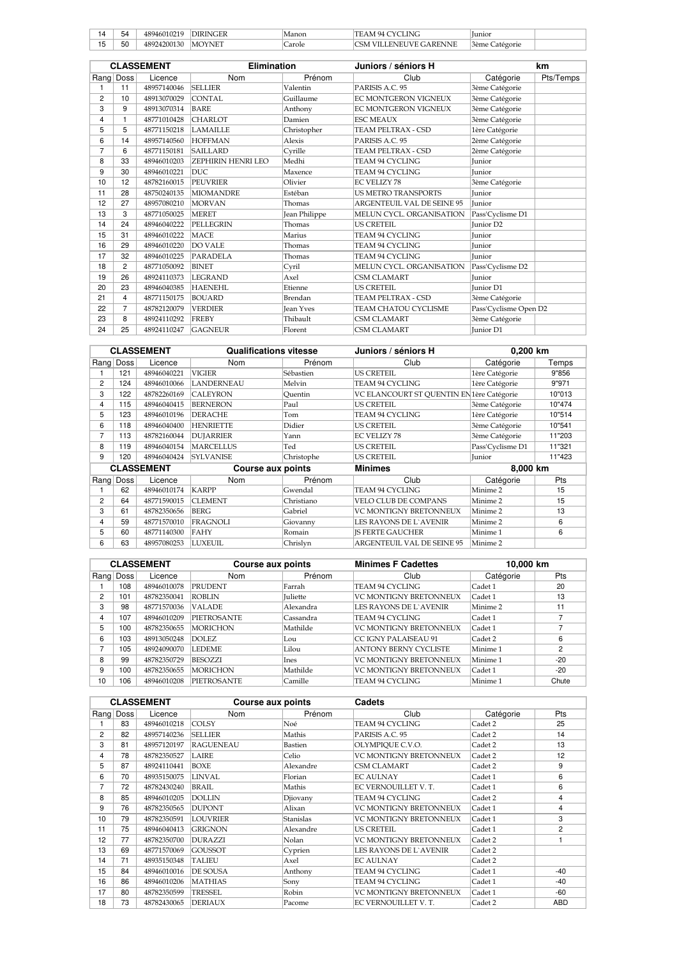|     | 54 |     |    | .    | INK<br>чл                      | lunioi           |  |
|-----|----|-----|----|------|--------------------------------|------------------|--|
| . . | 50 | 721 | MO | .ole | . A R'<br>.<br>'NNE<br>.<br>5M | atégorie<br>3ème |  |

|                |                | <b>CLASSEMENT</b> | <b>Elimination</b> |                      | Juniors / séniors H               |                       | km        |
|----------------|----------------|-------------------|--------------------|----------------------|-----------------------------------|-----------------------|-----------|
|                | Rang Doss      | Licence           | Nom                | Prénom               | Club                              | Catégorie             | Pts/Temps |
|                | 11             | 48957140046       | <b>SELLIER</b>     | Valentin             | PARISIS A.C. 95                   | 3ème Catégorie        |           |
| $\overline{2}$ | 10             | 48913070029       | CONTAL             | Guillaume            | <b>EC MONTGERON VIGNEUX</b>       | 3ème Catégorie        |           |
| 3              | 9              | 48913070314       | <b>BARE</b>        | Anthony              | EC MONTGERON VIGNEUX              | 3ème Catégorie        |           |
| 4              | $\mathbf{1}$   | 48771010428       | <b>CHARLOT</b>     | Damien               | <b>ESC MEAUX</b>                  | 3ème Catégorie        |           |
| 5              | 5              | 48771150218       | <b>LAMAILLE</b>    | Christopher          | TEAM PELTRAX - CSD                | 1ère Catégorie        |           |
| 6              | 14             | 48957140560       | <b>HOFFMAN</b>     | Alexis               | PARISIS A.C. 95                   | 2ème Catégorie        |           |
| 7              | 6              | 48771150181       | <b>SAILLARD</b>    | Cyrille              | <b>TEAM PELTRAX - CSD</b>         | 2ème Catégorie        |           |
| 8              | 33             | 48946010203       | ZEPHIRIN HENRI LEO | Medhi                | <b>TEAM 94 CYCLING</b>            | Junior                |           |
| 9              | 30             | 48946010221       | DUC.               | Maxence              | <b>TEAM 94 CYCLING</b>            | Junior                |           |
| 10             | 12             | 48782160015       | <b>PEUVRIER</b>    | Olivier              | <b>EC VELIZY 78</b>               | 3ème Catégorie        |           |
| 11             | 28             | 48750240135       | <b>MIOMANDRE</b>   | Estéban              | <b>US METRO TRANSPORTS</b>        | <b>Iunior</b>         |           |
| 12             | 27             | 48957080210       | <b>MORVAN</b>      | Thomas               | <b>ARGENTEUIL VAL DE SEINE 95</b> | Junior                |           |
| 13             | 3              | 48771050025       | <b>MERET</b>       | <b>Jean Philippe</b> | MELUN CYCL. ORGANISATION          | Pass'Cyclisme D1      |           |
| 14             | 24             | 48946040222       | <b>PELLEGRIN</b>   | Thomas               | US CRETEIL                        | <b>Iunior D2</b>      |           |
| 15             | 31             | 48946010222       | <b>MACE</b>        | Marius               | <b>TEAM 94 CYCLING</b>            | <b>Iunior</b>         |           |
| 16             | 29             | 48946010220       | DO VALE            | Thomas               | <b>TEAM 94 CYCLING</b>            | Junior                |           |
| 17             | 32             | 48946010225       | PARADELA           | Thomas               | <b>TEAM 94 CYCLING</b>            | Junior                |           |
| 18             | $\overline{2}$ | 48771050092       | <b>BINET</b>       | Cyril                | MELUN CYCL. ORGANISATION          | Pass'Cyclisme D2      |           |
| 19             | 26             | 48924110373       | <b>LEGRAND</b>     | Axel                 | <b>CSM CLAMART</b>                | <b>Iunior</b>         |           |
| 20             | 23             | 48946040385       | <b>HAENEHL</b>     | Etienne              | <b>US CRETEIL</b>                 | <b>Junior D1</b>      |           |
| 21             | 4              | 48771150175       | <b>BOUARD</b>      | Brendan              | TEAM PELTRAX - CSD                | 3ème Catégorie        |           |
| 22             | 7              | 48782120079       | <b>VERDIER</b>     | <b>Jean Yves</b>     | <b>TEAM CHATOU CYCLISME</b>       | Pass'Cyclisme Open D2 |           |
| 23             | 8              | 48924110292       | <b>FREBY</b>       | Thibault             | <b>CSM CLAMART</b>                | 3ème Catégorie        |           |
| 24             | 25             | 48924110247       | <b>GAGNEUR</b>     | Florent              | <b>CSM CLAMART</b>                | <b>Junior D1</b>      |           |

|   |           | <b>CLASSEMENT</b> | <b>Qualifications vitesse</b> |            | Juniors / séniors H                      | 0,200 km         |        |
|---|-----------|-------------------|-------------------------------|------------|------------------------------------------|------------------|--------|
|   | Rang Doss | Licence           | <b>Nom</b>                    | Prénom     | Club                                     | Catégorie        | Temps  |
|   | 121       | 48946040221       | VIGIER                        | Sébastien  | US CRETEIL                               | 1ère Catégorie   | 9"856  |
| 2 | 124       | 48946010066       | <b>LANDERNEAU</b>             | Melvin     | TEAM 94 CYCLING                          | 1ère Catégorie   | 9"971  |
| 3 | 122       | 48782260169       | <b>CALEYRON</b>               | Ouentin    | VC ELANCOURT ST QUENTIN EN1ère Catégorie |                  | 10"013 |
| 4 | 115       | 48946040415       | <b>BERNERON</b>               | Paul       | <b>US CRETEIL</b>                        | 3ème Catégorie   | 10"474 |
| 5 | 123       | 48946010196       | <b>DERACHE</b>                | Tom        | TEAM 94 CYCLING                          | 1ère Catégorie   | 10"514 |
| 6 | 118       | 48946040400       | <b>HENRIETTE</b>              | Didier     | <b>US CRETEIL</b>                        | 3ème Catégorie   | 10"541 |
| 7 | 113       | 48782160044       | <b>DUJARRIER</b>              | Yann       | <b>EC VELIZY 78</b>                      | 3ème Catégorie   | 11"203 |
| 8 | 119       | 48946040154       | <b>MARCELLUS</b>              | Ted        | <b>US CRETEIL</b>                        | Pass'Cyclisme D1 | 11"321 |
| 9 | 120       | 48946040424       | <b>SYLVANISE</b>              | Christophe | <b>US CRETEIL</b>                        | Junior           | 11"423 |
|   |           | <b>CLASSEMENT</b> | Course aux points             |            | <b>Minimes</b>                           | 8.000 km         |        |
|   | Rang Doss | Licence           | <b>Nom</b>                    | Prénom     | Club                                     | Catégorie        | Pts    |
|   | 62        | 48946010174       | <b>KARPP</b>                  | Gwendal    | TEAM 94 CYCLING                          | Minime 2         | 15     |
| 2 | 64        | 48771590015       | <b>CLEMENT</b>                | Christiano | <b>VELO CLUB DE COMPANS</b>              | Minime 2         | 15     |
| 3 | 61        | 48782350656       | <b>BERG</b>                   | Gabriel    | <b>VC MONTIGNY BRETONNEUX</b>            | Minime 2         | 13     |
| 4 | 59        | 48771570010       | <b>FRAGNOLI</b>               | Giovanny   | LES RAYONS DE L'AVENIR                   | Minime 2         | 6      |
| 5 | 60        | 48771140300       | FAHY                          | Romain     | <b>IS FERTE GAUCHER</b>                  | Minime 1         | 6      |
| 6 | 63        | 48957080253       | <b>LUXEUIL</b>                | Chrislyn   | ARGENTEUIL VAL DE SEINE 95               | Minime 2         |        |

| <b>CLASSEMENT</b> |           |             | Course aux points  |                 | <b>Minimes F Cadettes</b>     | 10,000 km           |       |
|-------------------|-----------|-------------|--------------------|-----------------|-------------------------------|---------------------|-------|
|                   | Rang Doss | Licence     | Nom                | Prénom          | Club                          | Catégorie           | Pts   |
|                   | 108       | 48946010078 | <b>PRUDENT</b>     | Farrah          | TEAM 94 CYCLING               | Cadet 1             | 20    |
| $\overline{2}$    | 101       | 48782350041 | ROBLIN             | <b>Iuliette</b> | VC MONTIGNY BRETONNEUX        | Cadet 1             | 13    |
| 3                 | 98        | 48771570036 | <b>VALADE</b>      | Alexandra       | LES RAYONS DE L`AVENIR        | Minime 2            | 11    |
| 4                 | 107       | 48946010209 | <b>PIETROSANTE</b> | Cassandra       | TEAM 94 CYCLING               | Cadet 1             |       |
| 5                 | 100       | 48782350655 | <b>MORICHON</b>    | Mathilde        | VC MONTIGNY BRETONNEUX        | $C$ adet 1          |       |
| 6                 | 103       | 48913050248 | DOLEZ.             | Lou             | ICC IGNY PALAISEAU 91         | $C$ adet 2          | 6     |
|                   | 105       | 48924090070 | <b>LEDEME</b>      | Lilou           | <b>ANTONY BERNY CYCLISTE</b>  | Minime 1            | 2     |
| 8                 | 99        | 48782350729 | BESOZZI            | Ines            | <b>VC MONTIGNY BRETONNEUX</b> | Minime <sub>1</sub> | $-20$ |
| 9                 | 100       | 48782350655 | <b>MORICHON</b>    | Mathilde        | VC MONTIGNY BRETONNEUX        | $C$ adet 1          | $-20$ |
| 10                | 106       | 48946010208 | <b>PIETROSANTE</b> | Camille         | TEAM 94 CYCLING               | Minime <sub>1</sub> | Chute |

|                |      | <b>CLASSEMENT</b> |                  | Course aux points |                               | Cadets    |                |
|----------------|------|-------------------|------------------|-------------------|-------------------------------|-----------|----------------|
| Rang           | Doss | Licence           | Nom              | Prénom            | Club                          | Catégorie | Pts            |
|                | 83   | 48946010218       | <b>COLSY</b>     | Noé               | TEAM 94 CYCLING               | Cadet 2   | 25             |
| $\overline{2}$ | 82   | 48957140236       | <b>SELLIER</b>   | Mathis            | PARISIS A.C. 95               | Cadet 2   | 14             |
| 3              | 81   | 48957120197       | <b>RAGUENEAU</b> | Bastien           | OLYMPIOUE C.V.O.              | Cadet 2   | 13             |
| 4              | 78   | 48782350527       | <b>LAIRE</b>     | Celio             | <b>VC MONTIGNY BRETONNEUX</b> | Cadet 2   | 12             |
| 5              | 87   | 48924110441       | <b>BOXE</b>      | Alexandre         | CSM CLAMART                   | Cadet 2   | 9              |
| 6              | 70   | 48935150075       | LINVAL           | Florian           | <b>EC AULNAY</b>              | Cadet 1   | 6              |
| 7              | 72   | 48782430240       | <b>BRAIL</b>     | Mathis            | EC VERNOUILLET V.T.           | Cadet 1   | 6              |
| 8              | 85   | 48946010205       | <b>DOLLIN</b>    | Djiovany          | <b>TEAM 94 CYCLING</b>        | Cadet 2   | 4              |
| 9              | 76   | 48782350565       | <b>DUPONT</b>    | Alixan            | <b>VC MONTIGNY BRETONNEUX</b> | Cadet 1   | 4              |
| 10             | 79   | 48782350591       | <b>LOUVRIER</b>  | Stanislas         | VC MONTIGNY BRETONNEUX        | Cadet 1   | 3              |
| 11             | 75   | 48946040413       | GRIGNON          | Alexandre         | US CRETEIL                    | Cadet 1   | $\overline{2}$ |
| 12             | 77   | 48782350700       | <b>DURAZZI</b>   | Nolan             | <b>VC MONTIGNY BRETONNEUX</b> | Cadet 2   |                |
| 13             | 69   | 48771570069       | <b>GOUSSOT</b>   | Cyprien           | LES RAYONS DE L'AVENIR        | Cadet 2   |                |
| 14             | 71   | 48935150348       | <b>TALIEU</b>    | Axel              | <b>EC AULNAY</b>              | Cadet 2   |                |
| 15             | 84   | 48946010016       | <b>DE SOUSA</b>  | Anthony           | TEAM 94 CYCLING               | Cadet 1   | $-40$          |
| 16             | 86   | 48946010206       | <b>MATHIAS</b>   | Sony              | TEAM 94 CYCLING               | Cadet 1   | $-40$          |
| 17             | 80   | 48782350599       | <b>TRESSEL</b>   | Robin             | VC MONTIGNY BRETONNEUX        | Cadet 1   | $-60$          |
| 18             | 73   | 48782430065       | <b>DERIAUX</b>   | Pacome            | EC VERNOUILLET V.T.           | Cadet 2   | <b>ABD</b>     |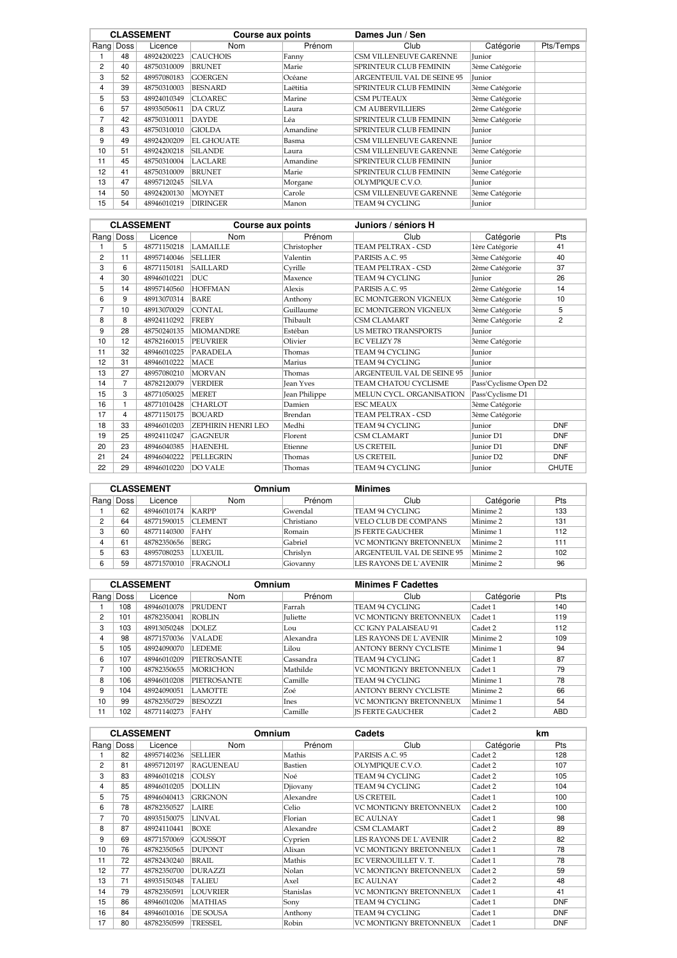|    |           | <b>CLASSEMENT</b> |                   | Dames Jun / Sen<br>Course aux points |                               |                |           |
|----|-----------|-------------------|-------------------|--------------------------------------|-------------------------------|----------------|-----------|
|    | Rang Doss | Licence           | Nom               | Prénom                               | Club                          | Catégorie      | Pts/Temps |
|    | 48        | 48924200223       | <b>CAUCHOIS</b>   | Fanny                                | <b>CSM VILLENEUVE GARENNE</b> | Junior         |           |
| 2  | 40        | 48750310009       | <b>BRUNET</b>     | Marie                                | <b>SPRINTEUR CLUB FEMININ</b> | 3ème Catégorie |           |
| 3  | 52        | 48957080183       | <b>GOERGEN</b>    | Océane                               | ARGENTEUIL VAL DE SEINE 95    | Junior         |           |
| 4  | 39        | 48750310003       | <b>BESNARD</b>    | Laëtitia                             | <b>SPRINTEUR CLUB FEMININ</b> | 3ème Catégorie |           |
| 5  | 53        | 48924010349       | <b>CLOAREC</b>    | Marine                               | <b>CSM PUTEAUX</b>            | 3ème Catégorie |           |
| 6  | 57        | 48935050611       | <b>DA CRUZ</b>    | Laura                                | <b>CM AUBERVILLIERS</b>       | 2ème Catégorie |           |
| 7  | 42        | 48750310011       | <b>DAYDE</b>      | Léa                                  | <b>SPRINTEUR CLUB FEMININ</b> | 3ème Catégorie |           |
| 8  | 43        | 48750310010       | <b>GIOLDA</b>     | Amandine                             | <b>SPRINTEUR CLUB FEMININ</b> | Junior         |           |
| 9  | 49        | 48924200209       | <b>EL GHOUATE</b> | Basma                                | <b>CSM VILLENEUVE GARENNE</b> | Junior         |           |
| 10 | 51        | 48924200218       | <b>SILANDE</b>    | Laura                                | <b>CSM VILLENEUVE GARENNE</b> | 3ème Catégorie |           |
| 11 | 45        | 48750310004       | <b>LACLARE</b>    | Amandine                             | <b>SPRINTEUR CLUB FEMININ</b> | <b>Iunior</b>  |           |
| 12 | 41        | 48750310009       | <b>BRUNET</b>     | Marie                                | <b>SPRINTEUR CLUB FEMININ</b> | 3ème Catégorie |           |
| 13 | 47        | 48957120245       | <b>SILVA</b>      | Morgane                              | OLYMPIOUE C.V.O.              | Junior         |           |
| 14 | 50        | 48924200130       | <b>MOYNET</b>     | Carole                               | <b>CSM VILLENEUVE GARENNE</b> | 3ème Catégorie |           |
| 15 | 54        | 48946010219       | <b>DIRINGER</b>   | Manon                                | TEAM 94 CYCLING               | Junior         |           |

|                |                | <b>CLASSEMENT</b> | Course aux points  |                  | Juniors / séniors H               |                       |                |
|----------------|----------------|-------------------|--------------------|------------------|-----------------------------------|-----------------------|----------------|
|                | Rang Doss      | Licence           | <b>Nom</b>         | Prénom           | Club                              | Catégorie             | Pts            |
|                | 5              | 48771150218       | <b>LAMAILLE</b>    | Christopher      | TEAM PELTRAX - CSD                | 1ère Catégorie        | 41             |
| $\overline{c}$ | 11             | 48957140046       | <b>SELLIER</b>     | Valentin         | PARISIS A.C. 95                   | 3ème Catégorie        | 40             |
| 3              | 6              | 48771150181       | <b>SAILLARD</b>    | Cyrille          | <b>TEAM PELTRAX - CSD</b>         | 2ème Catégorie        | 37             |
| 4              | 30             | 48946010221       | <b>DUC</b>         | Maxence          | <b>TEAM 94 CYCLING</b>            | <b>Iunior</b>         | 26             |
| 5              | 14             | 48957140560       | <b>HOFFMAN</b>     | Alexis           | PARISIS A.C. 95                   | 2ème Catégorie        | 14             |
| 6              | 9              | 48913070314       | <b>BARE</b>        | Anthony          | EC MONTGERON VIGNEUX              | 3ème Catégorie        | 10             |
| $\overline{7}$ | 10             | 48913070029       | <b>CONTAL</b>      | Guillaume        | EC MONTGERON VIGNEUX              | 3ème Catégorie        | 5              |
| 8              | 8              | 48924110292       | <b>FREBY</b>       | Thibault         | <b>CSM CLAMART</b>                | 3ème Catégorie        | $\overline{2}$ |
| 9              | 28             | 48750240135       | <b>MIOMANDRE</b>   | Estéban          | <b>US METRO TRANSPORTS</b>        | Junior                |                |
| 10             | 12             | 48782160015       | <b>PEUVRIER</b>    | Olivier          | <b>EC VELIZY 78</b>               | 3ème Catégorie        |                |
| 11             | 32             | 48946010225       | <b>PARADELA</b>    | Thomas           | <b>TEAM 94 CYCLING</b>            | Junior                |                |
| 12             | 31             | 48946010222       | <b>MACE</b>        | Marius           | TEAM 94 CYCLING                   | Junior                |                |
| 13             | 27             | 48957080210       | <b>MORVAN</b>      | Thomas           | <b>ARGENTEUIL VAL DE SEINE 95</b> | Junior                |                |
| 14             | $\overline{7}$ | 48782120079       | <b>VERDIER</b>     | <b>Jean Yves</b> | TEAM CHATOU CYCLISME              | Pass'Cyclisme Open D2 |                |
| 15             | 3              | 48771050025       | <b>MERET</b>       | Jean Philippe    | MELUN CYCL. ORGANISATION          | Pass'Cyclisme D1      |                |
| 16             |                | 48771010428       | <b>CHARLOT</b>     | Damien           | <b>ESC MEAUX</b>                  | 3ème Catégorie        |                |
| 17             | 4              | 48771150175       | <b>BOUARD</b>      | Brendan          | TEAM PELTRAX - CSD                | 3ème Catégorie        |                |
| 18             | 33             | 48946010203       | ZEPHIRIN HENRI LEO | Medhi            | <b>TEAM 94 CYCLING</b>            | Junior                | <b>DNF</b>     |
| 19             | 25             | 48924110247       | <b>GAGNEUR</b>     | Florent          | <b>CSM CLAMART</b>                | <b>Iunior</b> D1      | <b>DNF</b>     |
| 20             | 23             | 48946040385       | <b>HAENEHL</b>     | Etienne          | <b>US CRETEIL</b>                 | <b>Iunior</b> D1      | <b>DNF</b>     |
| 21             | 24             | 48946040222       | <b>PELLEGRIN</b>   | Thomas           | <b>US CRETEIL</b>                 | Junior D <sub>2</sub> | <b>DNF</b>     |
| 22             | 29             | 48946010220       | <b>DO VALE</b>     | Thomas           | <b>TEAM 94 CYCLING</b>            | <b>Iunior</b>         | <b>CHUTE</b>   |

| <b>CLASSEMENT</b> |           | Omnium      |                 | <b>Minimes</b> |                               |           |     |
|-------------------|-----------|-------------|-----------------|----------------|-------------------------------|-----------|-----|
|                   | Rang Doss | Licence     | Nom             | Prénom         | Club                          | Catégorie | Pts |
|                   | 62        | 48946010174 | KARPP           | Gwendal        | TEAM 94 CYCLING               | Minime 2  | 133 |
| ◠                 | 64        | 48771590015 | <b>CLEMENT</b>  | Christiano     | VELO CLUB DE COMPANS          | Minime 2  | 131 |
| ິ                 | 60        | 48771140300 | FAHY            | Romain         | <b>IS FERTE GAUCHER</b>       | Minime 1  | 112 |
|                   | 61        | 48782350656 | <b>BERG</b>     | Gabriel        | VC MONTIGNY BRETONNEUX        | Minime 2  | 111 |
|                   | 63        | 48957080253 | LUXEUIL         | Chrislyn       | ARGENTEUIL VAL DE SEINE 95    | Minime 2  | 102 |
|                   | 59        | 48771570010 | <b>FRAGNOLI</b> | Giovanny       | <b>LES RAYONS DE L`AVENIR</b> | Minime 2  | 96  |

|    | <b>CLASSEMENT</b> |             |                    | Omnium<br><b>Minimes F Cadettes</b> |                               |            |            |
|----|-------------------|-------------|--------------------|-------------------------------------|-------------------------------|------------|------------|
|    | Rang Doss         | Licence     | Nom                | Prénom                              | Club                          | Catégorie  | <b>Pts</b> |
|    | 108               | 48946010078 | <b>PRUDENT</b>     | Farrah                              | TEAM 94 CYCLING               | Cadet 1    | 140        |
| 2  | 101               | 48782350041 | <b>ROBLIN</b>      | <b>Iuliette</b>                     | <b>VC MONTIGNY BRETONNEUX</b> | Cadet 1    | 119        |
| 3  | 103               | 48913050248 | DOLEZ.             | Lou                                 | <b>CC IGNY PALAISEAU 91</b>   | Cadet 2    | 112        |
| 4  | 98                | 48771570036 | <b>VALADE</b>      | Alexandra                           | LES RAYONS DE L`AVENIR        | Minime 2   | 109        |
| 5  | 105               | 48924090070 | <b>LEDEME</b>      | Lilou                               | ANTONY BERNY CYCLISTE         | Minime 1   | 94         |
| 6  | 107               | 48946010209 | <b>PIETROSANTE</b> | Cassandra                           | TEAM 94 CYCLING               | $C$ adet 1 | 87         |
| ⇁  | 100               | 48782350655 | <b>MORICHON</b>    | Mathilde                            | VC MONTIGNY BRETONNEUX        | Cadet 1    | 79         |
| 8  | 106               | 48946010208 | <b>PIETROSANTE</b> | Camille                             | TEAM 94 CYCLING               | Minime 1   | 78         |
| 9  | 104               | 48924090051 | <b>LAMOTTE</b>     | Zoé                                 | <b>ANTONY BERNY CYCLISTE</b>  | Minime 2   | 66         |
| 10 | 99                | 48782350729 | BESOZZI            | Ines                                | <b>VC MONTIGNY BRETONNEUX</b> | Minime 1   | 54         |
| 11 | 102               | 48771140273 | FAHY               | Camille                             | <b>IS FERTE GAUCHER</b>       | Cadet 2    | <b>ABD</b> |

| <b>CLASSEMENT</b> |      |             | Omnium<br>Cadets |           |                               | km        |            |
|-------------------|------|-------------|------------------|-----------|-------------------------------|-----------|------------|
| Rang              | Doss | Licence     | Nom              | Prénom    | Club                          | Catégorie | Pts        |
|                   | 82   | 48957140236 | <b>SELLIER</b>   | Mathis    | PARISIS A.C. 95               | Cadet 2   | 128        |
| 2                 | 81   | 48957120197 | <b>RAGUENEAU</b> | Bastien   | OLYMPIQUE C.V.O.              | Cadet 2   | 107        |
| 3                 | 83   | 48946010218 | <b>COLSY</b>     | Noé       | TEAM 94 CYCLING               | Cadet 2   | 105        |
| 4                 | 85   | 48946010205 | <b>DOLLIN</b>    | Djiovany  | TEAM 94 CYCLING               | Cadet 2   | 104        |
| 5                 | 75   | 48946040413 | <b>GRIGNON</b>   | Alexandre | <b>US CRETEIL</b>             | Cadet 1   | 100        |
| 6                 | 78   | 48782350527 | LAIRE            | Celio     | <b>VC MONTIGNY BRETONNEUX</b> | Cadet 2   | 100        |
| 7                 | 70   | 48935150075 | LINVAL           | Florian   | <b>EC AULNAY</b>              | Cadet 1   | 98         |
| 8                 | 87   | 48924110441 | BOXE             | Alexandre | <b>CSM CLAMART</b>            | Cadet 2   | 89         |
| 9                 | 69   | 48771570069 | <b>GOUSSOT</b>   | Cyprien   | <b>LES RAYONS DE L'AVENIR</b> | Cadet 2   | 82         |
| 10                | 76   | 48782350565 | <b>DUPONT</b>    | Alixan    | <b>VC MONTIGNY BRETONNEUX</b> | Cadet 1   | 78         |
| 11                | 72   | 48782430240 | <b>BRAIL</b>     | Mathis    | EC VERNOUILLET V.T.           | Cadet 1   | 78         |
| 12                | 77   | 48782350700 | <b>DURAZZI</b>   | Nolan     | <b>VC MONTIGNY BRETONNEUX</b> | Cadet 2   | 59         |
| 13                | 71   | 48935150348 | <b>TALIEU</b>    | Axel      | <b>EC AULNAY</b>              | Cadet 2   | 48         |
| 14                | 79   | 48782350591 | LOUVRIER         | Stanislas | <b>VC MONTIGNY BRETONNEUX</b> | Cadet 1   | 41         |
| 15                | 86   | 48946010206 | <b>MATHIAS</b>   | Sony      | TEAM 94 CYCLING               | Cadet 1   | <b>DNF</b> |
| 16                | 84   | 48946010016 | <b>DE SOUSA</b>  | Anthony   | TEAM 94 CYCLING               | Cadet 1   | <b>DNF</b> |
| 17                | 80   | 48782350599 | TRESSEL          | Robin     | <b>VC MONTIGNY BRETONNEUX</b> | Cadet 1   | <b>DNF</b> |